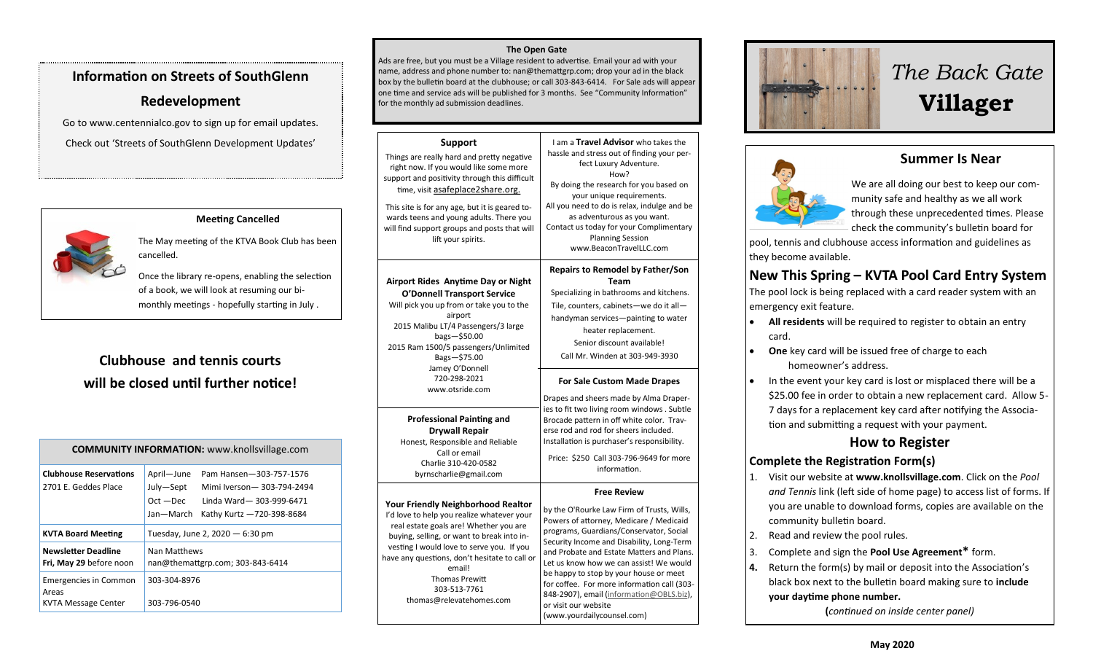# **Information on Streets of SouthGlenn**

## **Redevelopment**

Go to www.centennialco.gov to sign up for email updates. Check out 'Streets of SouthGlenn Development Updates'



### **Meeting Cancelled**

The May meeting of the KTVA Book Club has been cancelled.

Once the library re-opens, enabling the selection of a book, we will look at resuming our bi monthly meetings - hopefully starting in July .

# **Clubhouse and tennis courts will be closed until further notice!**

| <b>COMMUNITY INFORMATION:</b> www.knollsvillage.com          |                                                                                                                                                                     |
|--------------------------------------------------------------|---------------------------------------------------------------------------------------------------------------------------------------------------------------------|
| <b>Clubhouse Reservations</b><br>2701 F. Geddes Place        | April-June<br>Pam Hansen-303-757-1576<br>July-Sept<br>Mimi Iverson-303-794-2494<br>$Oct - Dec$<br>Linda Ward-303-999-6471<br>Jan—March<br>Kathy Kurtz -720-398-8684 |
| <b>KVTA Board Meeting</b>                                    | Tuesday, June 2, 2020 - 6:30 pm                                                                                                                                     |
| <b>Newsletter Deadline</b><br>Fri, May 29 before noon        | Nan Matthews<br>nan@themattgrp.com; 303-843-6414                                                                                                                    |
| <b>Emergencies in Common</b><br>Areas<br>KVTA Message Center | 303-304-8976<br>303-796-0540                                                                                                                                        |

#### **The Open Gate**

Ads are free, but you must be a Village resident to advertise. Email your ad with your name, address and phone number to: nan@themattgrp.com; drop your ad in the black box by the bulletin board at the clubhouse; or call 303-843-6414. For Sale ads will appear one time and service ads will be published for 3 months. See "Community Information" for the monthly ad submission deadlines.

#### **Support**

Things are really hard and pretty negative right now. If you would like some more support and positivity through this difficult time, visit asafeplace2share.org. This site is for any age, but it is geared towards teens and young adults. There you will find support groups and posts that will lift your spirits. I am a **Travel Advisor** who takes the hassle and stress out of finding your perfect Luxury Adventure. By doing the research for you based on your unique requirements. All you need to do is relax, indulge and be as adventurous as you want. Contact us today for your Complimentary Planning Session www.BeaconTravelLLC.com **Airport Rides Anytime Day or Night O'Donnell Transport Service** Will pick you up from or take you to the airport 2015 Malibu LT/4 Passengers/3 large bags—\$50.00 2015 Ram 1500/5 passengers/Unlimited Bags—\$75.00 Jamey O'Donnell 720-298-2021 www.otsride.com **Professional Painting and Drywall Repair** Honest, Responsible and Reliable **Repairs to Remodel by Father/Son**  Specializing in bathrooms and kitchens. Tile, counters, cabinets—we do it all handyman services—painting to water heater replacement. Senior discount available! Call Mr. Winden at 303-949-3930 **For Sale Custom Made Drapes** Drapes and sheers made by Alma Draperies to fit two living room windows . Subtle Brocade pattern in off white color. Traverse rod and rod for sheers included. Installation is purchaser's responsibility.

Call or email Charlie 310-420-0582 byrnscharlie@gmail.com

> email! Thomas Prewitt 303-513-7761

# **Free Review**

Price: \$250 Call 303-796-9649 for more information.

How?

**Team**

**Your Friendly Neighborhood Realtor** I'd love to help you realize whatever your real estate goals are! Whether you are buying, selling, or want to break into investing I would love to serve you. If you have any questions, don't hesitate to call o thomas@relevatehomes.com by the O'Rourke Law Firm of Trusts, Wills, Powers of attorney, Medicare / Medicaid programs, Guardians/Conservator, Social Security Income and Disability, Long-Term and Probate and Estate Matters and Plans. Let us know how we can assist! We would be happy to stop by your house or meet for coffee. For more information call (303- 848-2907), email [\(information@OBLS.biz\)](mailto:information@OBLS.biz), or visit our website (www.yourdailycounsel.com)



# *The Back Gate*  **Villager**

# **Summer Is Near**



We are all doing our best to keep our community safe and healthy as we all work through these unprecedented times. Please check the community's bulletin board for

pool, tennis and clubhouse access information and guidelines as they become available.

# **New This Spring – KVTA Pool Card Entry System**

The pool lock is being replaced with a card reader system with an emergency exit feature.

- **All residents** will be required to register to obtain an entry card.
- **One** key card will be issued free of charge to each homeowner's address.
- In the event your key card is lost or misplaced there will be a \$25.00 fee in order to obtain a new replacement card. Allow 5- 7 days for a replacement key card after notifying the Association and submitting a request with your payment.

# **How to Register**

#### **Complete the Registration Form(s)**

- 1. Visit our website at **www.knollsvillage.com**. Click on the *Pool and Tennis* link (left side of home page) to access list of forms. If you are unable to download forms, copies are available on the community bulletin board.
- 2. Read and review the pool rules.
- 3. Complete and sign the **Pool Use Agreement\*** form.
- **4.** Return the form(s) by mail or deposit into the Association's black box next to the bulletin board making sure to **include your daytime phone number.**

**(***continued on inside center panel)*